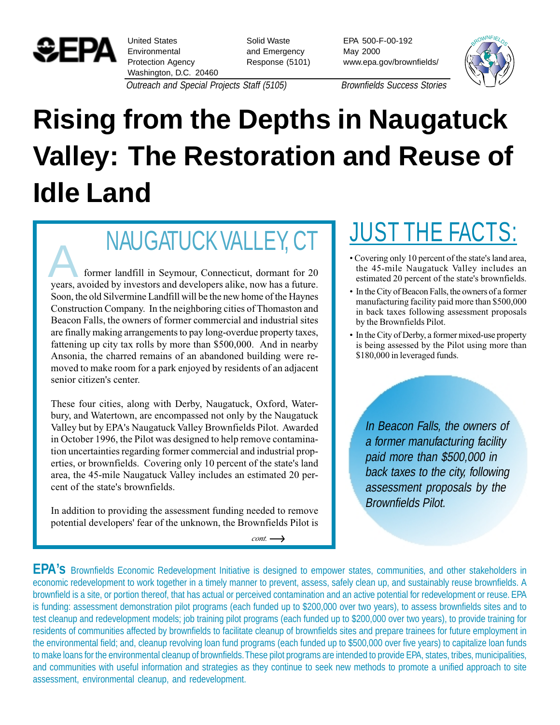

United States Environmental Protection Agency Washington, D.C. 20460 Solid Waste and Emergency Response (5101) EPA 500-F-00-192 May 2000 www.epa.gov/brownfields/



Outreach and Special Projects Staff (5105) Brownfields Success Stories

## **Rising from the Depths in Naugatuck Valley: The Restoration and Reuse of Idle Land**

NAUGATUCK VALLEY, CT<br>
former landfill in Seymour, Connecticut, dormant for 20<br>
vears, avoided by investors and developers alike, now has a future years, avoided by investors and developers alike, now has a future. Soon, the old Silvermine Landfill will be the new home of the Haynes Construction Company. In the neighboring cities of Thomaston and Beacon Falls, the owners of former commercial and industrial sites are finally making arrangements to pay long-overdue property taxes, fattening up city tax rolls by more than \$500,000. And in nearby Ansonia, the charred remains of an abandoned building were removed to make room for a park enjoyed by residents of an adjacent senior citizen's center.

These four cities, along with Derby, Naugatuck, Oxford, Waterbury, and Watertown, are encompassed not only by the Naugatuck Valley but by EPA's Naugatuck Valley Brownfields Pilot. Awarded in October 1996, the Pilot was designed to help remove contamination uncertainties regarding former commercial and industrial properties, or brownfields. Covering only 10 percent of the state's land area, the 45-mile Naugatuck Valley includes an estimated 20 percent of the state's brownfields.

In addition to providing the assessment funding needed to remove potential developers' fear of the unknown, the Brownfields Pilot is

*cont.*

## JUST THE FACTS:

- Covering only 10 percent of the state's land area, the 45-mile Naugatuck Valley includes an estimated 20 percent of the state's brownfields.
- In the City of Beacon Falls, the owners of a former manufacturing facility paid more than \$500,000 in back taxes following assessment proposals by the Brownfields Pilot.
- In the City of Derby, a former mixed-use property is being assessed by the Pilot using more than \$180,000 in leveraged funds.

In Beacon Falls, the owners of a former manufacturing facility paid more than \$500,000 in back taxes to the city, following assessment proposals by the Brownfields Pilot.

**EPA's** Brownfields Economic Redevelopment Initiative is designed to empower states, communities, and other stakeholders in economic redevelopment to work together in a timely manner to prevent, assess, safely clean up, and sustainably reuse brownfields. A brownfield is a site, or portion thereof, that has actual or perceived contamination and an active potential for redevelopment or reuse. EPA is funding: assessment demonstration pilot programs (each funded up to \$200,000 over two years), to assess brownfields sites and to test cleanup and redevelopment models; job training pilot programs (each funded up to \$200,000 over two years), to provide training for residents of communities affected by brownfields to facilitate cleanup of brownfields sites and prepare trainees for future employment in the environmental field; and, cleanup revolving loan fund programs (each funded up to \$500,000 over five years) to capitalize loan funds to make loans for the environmental cleanup of brownfields. These pilot programs are intended to provide EPA, states, tribes, municipalities, and communities with useful information and strategies as they continue to seek new methods to promote a unified approach to site assessment, environmental cleanup, and redevelopment.